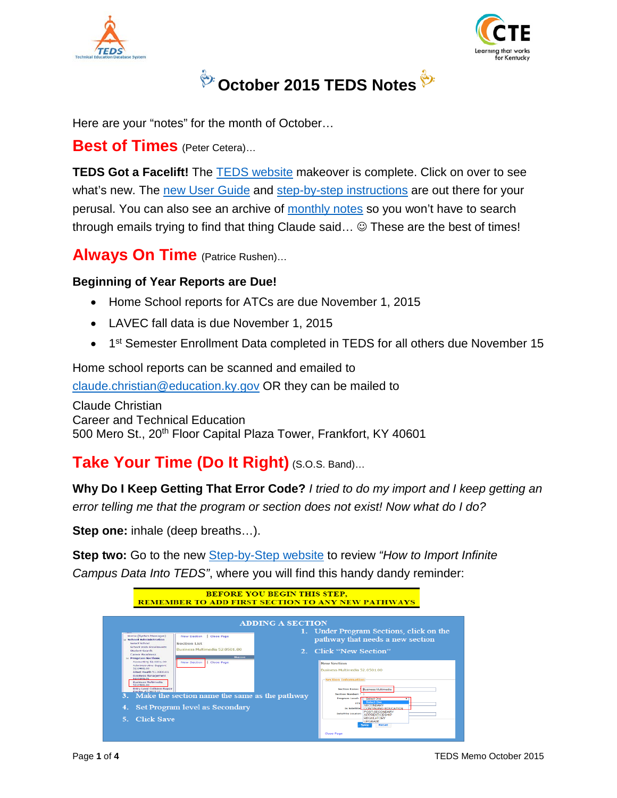



# **October 2015 TEDS Notes**

Here are your "notes" for the month of October…

**Best of Times** (Peter Cetera)...

**TEDS Got a Facelift!** The [TEDS website](http://bit.ly/TEDS_Home) makeover is complete. Click on over to see what's new. The [new User Guide](http://bit.ly/TEDS_UserGuide) and [step-by-step instructions](http://bit.ly/TEDS_UserGuide) are out there for your perusal. You can also see an archive of [monthly notes](http://bit.ly/TEDS_MM) so you won't have to search through emails trying to find that thing Claude said...  $\odot$  These are the best of times!

**Always On Time** (Patrice Rushen)…

#### **Beginning of Year Reports are Due!**

- Home School reports for ATCs are due November 1, 2015
- LAVEC fall data is due November 1, 2015
- 1<sup>st</sup> Semester Enrollment Data completed in TEDS for all others due November 15

Home school reports can be scanned and emailed to [claude.christian@education.ky.gov](mailto:claude.christian@education.ky.gov) OR they can be mailed to

Claude Christian Career and Technical Education 500 Mero St., 20<sup>th</sup> Floor Capital Plaza Tower, Frankfort, KY 40601

# **Take Your Time (Do It Right)** (S.O.S. Band)…

**Why Do I Keep Getting That Error Code?** *I tried to do my import and I keep getting an error telling me that the program or section does not exist! Now what do I do?*

**Step one:** inhale (deep breaths…).

**Step two:** Go to the new [Step-by-Step](http://bit.ly/TEDS_HowTo) website to review *"How to Import Infinite Campus Data Into TEDS"*, where you will find this handy dandy reminder:

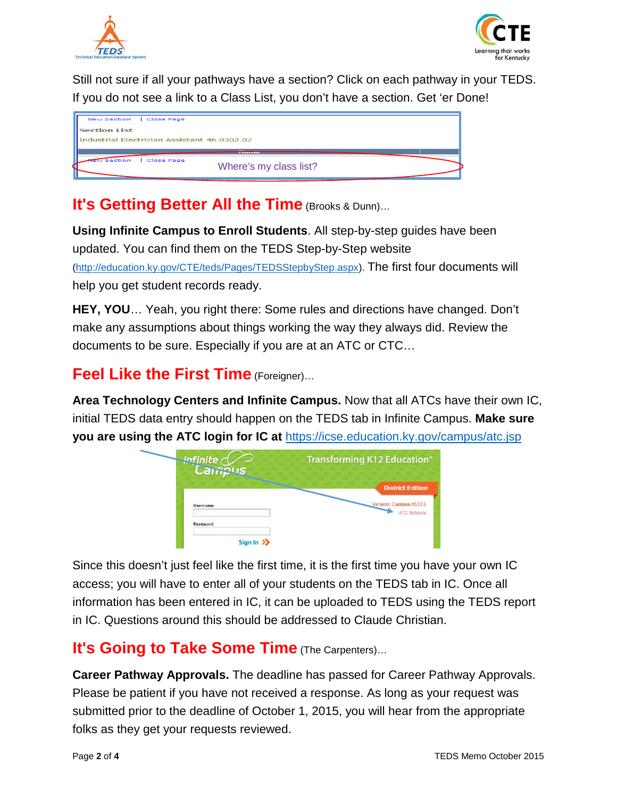



Still not sure if all your pathways have a section? Click on each pathway in your TEDS. If you do not see a link to a Class List, you don't have a section. Get 'er Done!



## **It's Getting Better All the Time** (Brooks & Dunn)...

**Using Infinite Campus to Enroll Students**. All step-by-step guides have been updated. You can find them on the TEDS Step-by-Step website [\(http://education.ky.gov/CTE/teds/Pages/TEDSStepbyStep.aspx\)](http://education.ky.gov/CTE/teds/Pages/TEDSStepbyStep.aspx). The first four documents will help you get student records ready.

**HEY, YOU**… Yeah, you right there: Some rules and directions have changed. Don't make any assumptions about things working the way they always did. Review the documents to be sure. Especially if you are at an ATC or CTC…

### **Feel Like the First Time** (Foreigner)…

**Area Technology Centers and Infinite Campus.** Now that all ATCs have their own IC, initial TEDS data entry should happen on the TEDS tab in Infinite Campus. **Make sure you are using the ATC login for IC at** <https://icse.education.ky.gov/campus/atc.jsp>



Since this doesn't just feel like the first time, it is the first time you have your own IC access; you will have to enter all of your students on the TEDS tab in IC. Once all information has been entered in IC, it can be uploaded to TEDS using the TEDS report in IC. Questions around this should be addressed to Claude Christian.

## **It's Going to Take Some Time** (The Carpenters)...

**Career Pathway Approvals.** The deadline has passed for Career Pathway Approvals. Please be patient if you have not received a response. As long as your request was submitted prior to the deadline of October 1, 2015, you will hear from the appropriate folks as they get your requests reviewed.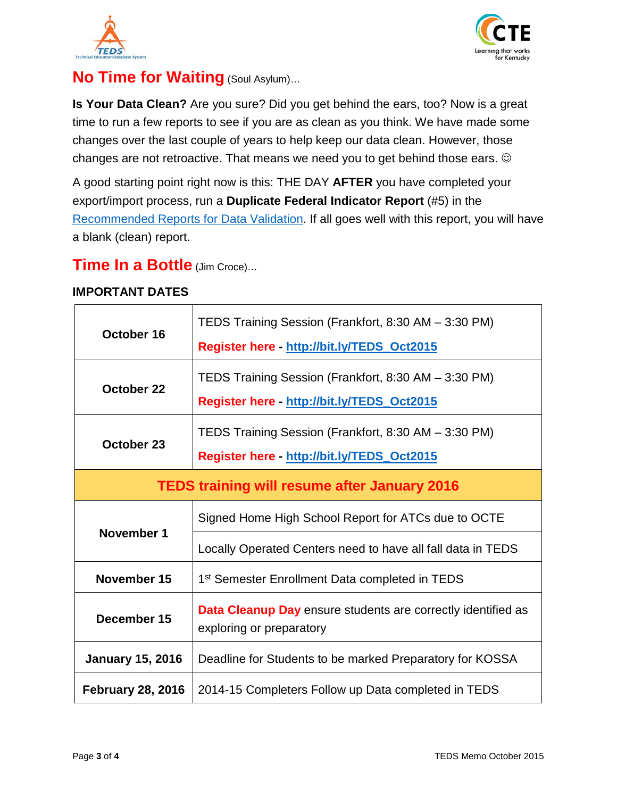



### **No Time for Waiting** (Soul Asylum)…

**Is Your Data Clean?** Are you sure? Did you get behind the ears, too? Now is a great time to run a few reports to see if you are as clean as you think. We have made some changes over the last couple of years to help keep our data clean. However, those changes are not retroactive. That means we need you to get behind those ears.

A good starting point right now is this: THE DAY **AFTER** you have completed your export/import process, run a **Duplicate Federal Indicator Report** (#5) in the [Recommended Reports for Data Validation.](http://bit.ly/TEDS_Reports) If all goes well with this report, you will have a blank (clean) report.

#### **Time In a Bottle** (Jim Croce)…

#### **IMPORTANT DATES**

| October 16                                          | TEDS Training Session (Frankfort, 8:30 AM - 3:30 PM)<br>Register here - http://bit.ly/TEDS_Oct2015 |
|-----------------------------------------------------|----------------------------------------------------------------------------------------------------|
| October 22                                          | TEDS Training Session (Frankfort, 8:30 AM - 3:30 PM)<br>Register here - http://bit.ly/TEDS_Oct2015 |
| October 23                                          | TEDS Training Session (Frankfort, 8:30 AM - 3:30 PM)<br>Register here - http://bit.ly/TEDS_Oct2015 |
| <b>TEDS training will resume after January 2016</b> |                                                                                                    |
| November 1                                          | Signed Home High School Report for ATCs due to OCTE                                                |
|                                                     | Locally Operated Centers need to have all fall data in TEDS                                        |
| November 15                                         | 1 <sup>st</sup> Semester Enrollment Data completed in TEDS                                         |
| December 15                                         | <b>Data Cleanup Day</b> ensure students are correctly identified as                                |
|                                                     | exploring or preparatory                                                                           |
| <b>January 15, 2016</b>                             | Deadline for Students to be marked Preparatory for KOSSA                                           |